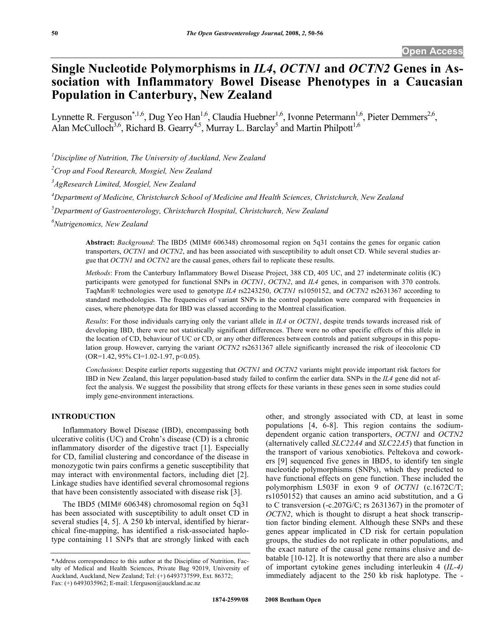# **Single Nucleotide Polymorphisms in** *IL4***,** *OCTN1* **and** *OCTN2* **Genes in Association with Inflammatory Bowel Disease Phenotypes in a Caucasian Population in Canterbury, New Zealand**

Lynnette R. Ferguson\*,<sup>1,6</sup>, Dug Yeo Han<sup>1,6</sup>, Claudia Huebner<sup>1,6</sup>, Ivonne Petermann<sup>1,6</sup>, Pieter Demmers<sup>2,6</sup>, Alan McCulloch<sup>3,6</sup>, Richard B. Gearry<sup>4,5</sup>, Murray L. Barclay<sup>5</sup> and Martin Philpott<sup>1,6</sup>

*1 Discipline of Nutrition, The University of Auckland, New Zealand* 

*2 Crop and Food Research, Mosgiel, New Zealand* 

*3 AgResearch Limited, Mosgiel, New Zealand* 

*4 Department of Medicine, Christchurch School of Medicine and Health Sciences, Christchurch, New Zealand* 

*5 Department of Gastroenterology, Christchurch Hospital, Christchurch, New Zealand* 

*6 Nutrigenomics, New Zealand* 

**Abstract:** *Background*: The IBD5 (MIM# 606348) chromosomal region on 5q31 contains the genes for organic cation transporters, *OCTN1* and *OCTN2*, and has been associated with susceptibility to adult onset CD. While several studies argue that *OCTN1* and *OCTN2* are the causal genes, others fail to replicate these results.

*Methods*: From the Canterbury Inflammatory Bowel Disease Project, 388 CD, 405 UC, and 27 indeterminate colitis (IC) participants were genotyped for functional SNPs in *OCTN1*, *OCTN2*, and *IL4* genes, in comparison with 370 controls. TaqMan® technologies were used to genotype *IL4* rs2243250, *OCTN1* rs1050152, and *OCTN2* rs2631367 according to standard methodologies. The frequencies of variant SNPs in the control population were compared with frequencies in cases, where phenotype data for IBD was classed according to the Montreal classification.

*Results*: For those individuals carrying only the variant allele in *IL4* or *OCTN1*, despite trends towards increased risk of developing IBD, there were not statistically significant differences. There were no other specific effects of this allele in the location of CD, behaviour of UC or CD, or any other differences between controls and patient subgroups in this population group. However, carrying the variant *OCTN2* rs2631367 allele significantly increased the risk of ileocolonic CD  $(OR=1.42, 95\% CI=1.02-1.97, p<0.05).$ 

*Conclusions*: Despite earlier reports suggesting that *OCTN1* and *OCTN2* variants might provide important risk factors for IBD in New Zealand, this larger population-based study failed to confirm the earlier data. SNPs in the *IL4* gene did not affect the analysis. We suggest the possibility that strong effects for these variants in these genes seen in some studies could imply gene-environment interactions.

# **INTRODUCTION**

 Inflammatory Bowel Disease (IBD), encompassing both ulcerative colitis (UC) and Crohn's disease (CD) is a chronic inflammatory disorder of the digestive tract [1]. Especially for CD, familial clustering and concordance of the disease in monozygotic twin pairs confirms a genetic susceptibility that may interact with environmental factors, including diet [2]. Linkage studies have identified several chromosomal regions that have been consistently associated with disease risk [3].

 The IBD5 (MIM# 606348) chromosomal region on 5q31 has been associated with susceptibility to adult onset CD in several studies [4, 5]. A 250 kb interval, identified by hierarchical fine-mapping, has identified a risk-associated haplotype containing 11 SNPs that are strongly linked with each

other, and strongly associated with CD, at least in some populations [4, 6-8]. This region contains the sodiumdependent organic cation transporters, *OCTN1* and *OCTN2* (alternatively called *SLC22A4* and *SLC22A5*) that function in the transport of various xenobiotics. Peltekova and coworkers [9] sequenced five genes in IBD5, to identify ten single nucleotide polymorphisms (SNPs), which they predicted to have functional effects on gene function. These included the polymorphism L503F in exon 9 of *OCTN1* (c.1672C/T; rs1050152) that causes an amino acid substitution, and a G to C transversion (-c.207G/C; rs 2631367) in the promoter of *OCTN2*, which is thought to disrupt a heat shock transcription factor binding element. Although these SNPs and these genes appear implicated in CD risk for certain population groups, the studies do not replicate in other populations, and the exact nature of the causal gene remains elusive and debatable [10-12]. It is noteworthy that there are also a number of important cytokine genes including interleukin 4 (*IL-4)* immediately adjacent to the 250 kb risk haplotype. The -

<sup>\*</sup>Address correspondence to this author at the Discipline of Nutrition, Faculty of Medical and Health Sciences, Private Bag 92019, University of Auckland, Auckland, New Zealand; Tel: (+) 6493737599, Ext. 86372; Fax: (+) 6493035962; E-mail: l.ferguson@auckland.ac.nz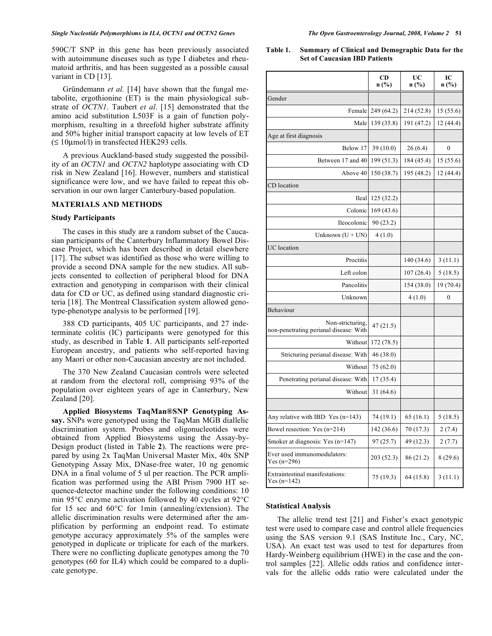590C/T SNP in this gene has been previously associated with autoimmune diseases such as type I diabetes and rheumatoid arthritis, and has been suggested as a possible causal variant in CD [13].

 Gründemann *et al.* [14] have shown that the fungal metabolite, ergothionine (ET) is the main physiological substrate of *OCTN1*. Taubert *et al*. [15] demonstrated that the amino acid substitution L503F is a gain of function polymorphism, resulting in a threefold higher substrate affinity and 50% higher initial transport capacity at low levels of ET  $(S10\mu\text{mol/l})$  in transfected HEK293 cells.

 A previous Auckland-based study suggested the possibility of an *OCTN1* and *OCTN2* haplotype associating with CD risk in New Zealand [16]. However, numbers and statistical significance were low, and we have failed to repeat this observation in our own larger Canterbury-based population.

# **MATERIALS AND METHODS**

#### **Study Participants**

 The cases in this study are a random subset of the Caucasian participants of the Canterbury Inflammatory Bowel Disease Project, which has been described in detail elsewhere [17]. The subset was identified as those who were willing to provide a second DNA sample for the new studies. All subjects consented to collection of peripheral blood for DNA extraction and genotyping in comparison with their clinical data for CD or UC, as defined using standard diagnostic criteria [18]. The Montreal Classification system allowed genotype-phenotype analysis to be performed [19].

 388 CD participants, 405 UC participants, and 27 indeterminate colitis (IC) participants were genotyped for this study, as described in Table **1**. All participants self-reported European ancestry, and patients who self-reported having any Maori or other non-Caucasian ancestry are not included.

 The 370 New Zealand Caucasian controls were selected at random from the electoral roll, comprising 93% of the population over eighteen years of age in Canterbury, New Zealand [20].

 **Applied Biosystems TaqMan®SNP Genotyping Assay.** SNPs were genotyped using the TaqMan MGB diallelic discrimination system. Probes and oligonucleotides were obtained from Applied Biosystems using the Assay-by-Design product (listed in Table **2**). The reactions were prepared by using 2x TaqMan Universal Master Mix, 40x SNP Genotyping Assay Mix, DNase-free water, 10 ng genomic DNA in a final volume of 5 ul per reaction. The PCR amplification was performed using the ABI Prism 7900 HT sequence-detector machine under the following conditions: 10 min 95°C enzyme activation followed by 40 cycles at 92°C for 15 sec and 60°C for 1min (annealing/extension). The allelic discrimination results were determined after the amplification by performing an endpoint read. To estimate genotype accuracy approximately 5% of the samples were genotyped in duplicate or triplicate for each of the markers. There were no conflicting duplicate genotypes among the 70 genotypes (60 for IL4) which could be compared to a duplicate genotype.

#### **Table 1. Summary of Clinical and Demographic Data for the Set of Caucasian IBD Patients**

|                                                            | <b>CD</b><br>n(%) | UC<br>n(%) | IC<br>n (%)  |
|------------------------------------------------------------|-------------------|------------|--------------|
| Gender                                                     |                   |            |              |
| Female                                                     | 249 (64.2)        | 214 (52.8) | 15 (55.6)    |
| Male                                                       | 139 (35.8)        | 191 (47.2) | 12(44.4)     |
| Age at first diagnosis                                     |                   |            |              |
| Below 17                                                   | 39 (10.0)         | 26(6.4)    | $\mathbf{0}$ |
| Between 17 and 40                                          | 199 (51.3)        | 184 (45.4) | 15 (55.6)    |
| Above 40                                                   | 150 (38.7)        | 195 (48.2) | 12(44.4)     |
| CD location                                                |                   |            |              |
| Ileal                                                      | 125 (32.2)        |            |              |
| Colonic                                                    | 169 (43.6)        |            |              |
| Ileocolonic                                                | 90 (23.2)         |            |              |
| Unknown $(U + UN)$                                         | 4(1.0)            |            |              |
| <b>UC</b> location                                         |                   |            |              |
| Proctitis                                                  |                   | 140 (34.6) | 3(11.1)      |
| Left colon                                                 |                   | 107(26.4)  | 5(18.5)      |
| Pancolitis                                                 |                   | 154 (38.0) | 19 (70.4)    |
| Unknown                                                    |                   | 4(1.0)     | 0            |
| Behaviour                                                  |                   |            |              |
| Non-stricturing,<br>non-penetrating perianal disease: With | 47 (21.5)         |            |              |
| Without                                                    | 172 (78.5)        |            |              |
| Stricturing perianal disease: With                         | 46 (38.0)         |            |              |
| Without                                                    | 75 (62.0)         |            |              |
| Penetrating perianal disease: With                         | 17 (35.4)         |            |              |
| Without                                                    | 31(64.6)          |            |              |
|                                                            |                   |            |              |
| Any relative with IBD: Yes (n=143)                         | 74 (19.1)         | 65 (16.1)  | 5(18.5)      |
| Bowel resection: Yes (n=214)                               | 142 (36.6)        | 70 (17.3)  | 2(7.4)       |
| Smoker at diagnosis: Yes (n=147)                           | 97 (25.7)         | 49 (12.3)  | 2(7.7)       |
| Ever used immunomodulators:<br>Yes $(n=296)$               | 203 (52.3)        | 86 (21.2)  | 8(29.6)      |
| <b>Extraintestinal manifestations:</b><br>Yes $(n=142)$    | 75 (19.3)         | 64 (15.8)  | 3(11.1)      |

#### **Statistical Analysis**

 The allelic trend test [21] and Fisher's exact genotypic test were used to compare case and control allele frequencies using the SAS version 9.1 (SAS Institute Inc., Cary, NC, USA). An exact test was used to test for departures from Hardy-Weinberg equilibrium (HWE) in the case and the control samples [22]. Allelic odds ratios and confidence intervals for the allelic odds ratio were calculated under the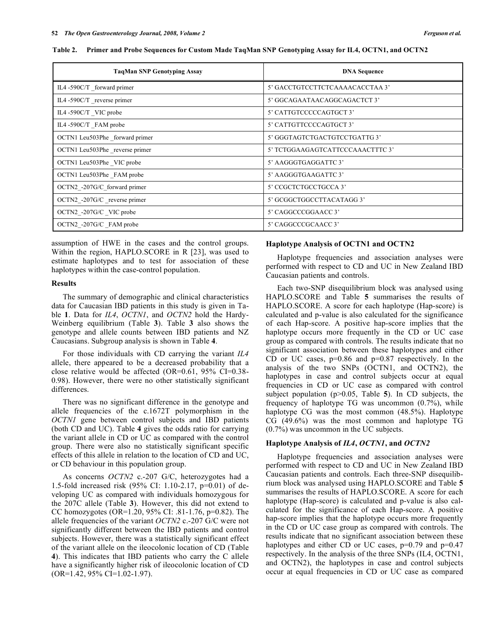| <b>TaqMan SNP Genotyping Assay</b> | <b>DNA</b> Sequence              |
|------------------------------------|----------------------------------|
| IL4 -590C/T forward primer         | 5' GACCTGTCCTTCTCAAAACACCTAA 3'  |
| IL4 -590C/T reverse primer         | 5' GGCAGAATAACAGGCAGACTCT 3'     |
| IL4 -590C/T VIC probe              | 5' CATTGTCCCCCAGTGCT 3'          |
| IL4 -590 $C/T$ FAM probe           | 5' CATTGTTCCCCAGTGCT 3'          |
| OCTN1 Leu503Phe forward primer     | 5' GGGTAGTCTGACTGTCCTGATTG 3'    |
| OCTN1 Leu503Phe _reverse primer    | 5' TCTGGAAGAGTCATTCCCAAACTTTC 3' |
| OCTN1 Leu503Phe VIC probe          | 5' AAGGGTGAGGATTC 3'             |
| OCTN1 Leu503Phe FAM probe          | 5' AAGGGTGAAGATTC 3'             |
| OCTN2 -207G/C forward primer       | 5' CCGCTCTGCCTGCCA 3'            |
| OCTN2 -207G/C reverse primer       | 5' GCGGCTGGCCTTACATAGG 3'        |
| OCTN2 -207G/C VIC probe            | 5' CAGGCCCGGAACC 3'              |
| OCTN2 -207G/C FAM probe            | 5' CAGGCCCGCAACC 3'              |

**Table 2. Primer and Probe Sequences for Custom Made TaqMan SNP Genotyping Assay for IL4, OCTN1, and OCTN2** 

assumption of HWE in the cases and the control groups. Within the region, HAPLO.SCORE in R [23], was used to estimate haplotypes and to test for association of these haplotypes within the case-control population.

#### **Results**

 The summary of demographic and clinical characteristics data for Caucasian IBD patients in this study is given in Table **1**. Data for *IL4*, *OCTN1*, and *OCTN2* hold the Hardy-Weinberg equilibrium (Table **3**). Table **3** also shows the genotype and allele counts between IBD patients and NZ Caucasians. Subgroup analysis is shown in Table **4**.

 For those individuals with CD carrying the variant *IL4* allele, there appeared to be a decreased probability that a close relative would be affected (OR=0.61, 95% CI=0.38- 0.98). However, there were no other statistically significant differences.

 There was no significant difference in the genotype and allele frequencies of the c.1672T polymorphism in the *OCTN1* gene between control subjects and IBD patients (both CD and UC). Table **4** gives the odds ratio for carrying the variant allele in CD or UC as compared with the control group. There were also no statistically significant specific effects of this allele in relation to the location of CD and UC, or CD behaviour in this population group.

 As concerns *OCTN2* c.-207 G/C, heterozygotes had a 1.5-fold increased risk (95% CI: 1.10-2.17, p=0.01) of developing UC as compared with individuals homozygous for the 207C allele (Table **3**). However, this did not extend to CC homozygotes (OR=1.20, 95% CI: .81-1.76, p=0.82). The allele frequencies of the variant *OCTN2* c.-207 G/C were not significantly different between the IBD patients and control subjects. However, there was a statistically significant effect of the variant allele on the ileocolonic location of CD (Table **4**). This indicates that IBD patients who carry the C allele have a significantly higher risk of ileocolonic location of CD (OR=1.42, 95% CI=1.02-1.97).

#### **Haplotype Analysis of OCTN1 and OCTN2**

 Haplotype frequencies and association analyses were performed with respect to CD and UC in New Zealand IBD Caucasian patients and controls.

 Each two-SNP disequilibrium block was analysed using HAPLO.SCORE and Table **5** summarises the results of HAPLO.SCORE. A score for each haplotype (Hap-score) is calculated and p-value is also calculated for the significance of each Hap-score. A positive hap-score implies that the haplotype occurs more frequently in the CD or UC case group as compared with controls. The results indicate that no significant association between these haplotypes and either CD or UC cases, p=0.86 and p=0.87 respectively. In the analysis of the two SNPs (OCTN1, and OCTN2), the haplotypes in case and control subjects occur at equal frequencies in CD or UC case as compared with control subject population (p>0.05, Table **5**). In CD subjects, the frequency of haplotype TG was uncommon (0.7%), while haplotype CG was the most common (48.5%). Haplotype CG (49.6%) was the most common and haplotype TG (0.7%) was uncommon in the UC subjects.

# **Haplotype Analysis of** *IL4***,** *OCTN1***, and** *OCTN2*

 Haplotype frequencies and association analyses were performed with respect to CD and UC in New Zealand IBD Caucasian patients and controls. Each three-SNP disequilibrium block was analysed using HAPLO.SCORE and Table **5** summarises the results of HAPLO.SCORE. A score for each haplotype (Hap-score) is calculated and p-value is also calculated for the significance of each Hap-score. A positive hap-score implies that the haplotype occurs more frequently in the CD or UC case group as compared with controls. The results indicate that no significant association between these haplotypes and either CD or UC cases,  $p=0.79$  and  $p=0.47$ respectively. In the analysis of the three SNPs (IL4, OCTN1, and OCTN2), the haplotypes in case and control subjects occur at equal frequencies in CD or UC case as compared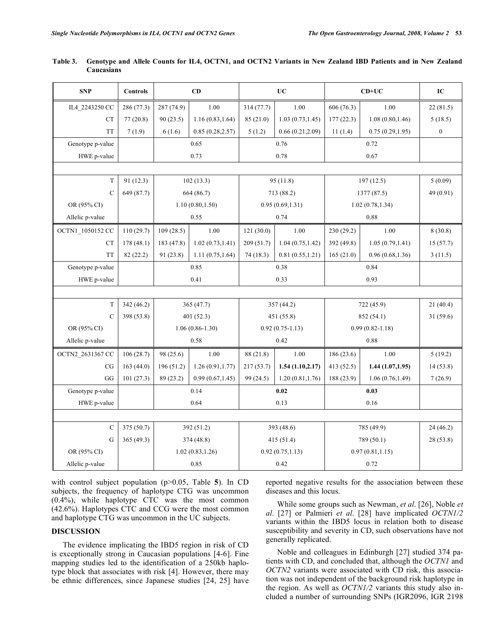| <b>SNP</b>       | <b>Controls</b> |                  | CD                  |            | <b>UC</b>         |                     | IC               |                  |  |  |
|------------------|-----------------|------------------|---------------------|------------|-------------------|---------------------|------------------|------------------|--|--|
| IL4 2243250 CC   | 286 (77.3)      | 287 (74.9)       | 1.00                | 314 (77.7) | 1.00              | 606 (76.3)          | 1.00             | 22(81.5)         |  |  |
| <b>CT</b>        | 77(20.8)        | 90(23.5)         | 1.16(0.83, 1.64)    | 85(21.0)   | 1.03(0.73, 1.45)  | 177(22.3)           | 1.08(0.80, 1.46) | 5(18.5)          |  |  |
| <b>TT</b>        | 7(1.9)          | 6(1.6)           | 0.85(0.28, 2.57)    | 5(1.2)     | 0.66(0.21, 2.09)  | 11(1.4)             | 0.75(0.29, 1.95) | $\boldsymbol{0}$ |  |  |
| Genotype p-value |                 |                  | 0.65                |            | 0.76              |                     |                  |                  |  |  |
| HWE p-value      |                 |                  | 0.73                |            | 0.78              |                     |                  |                  |  |  |
|                  |                 |                  |                     |            |                   |                     |                  |                  |  |  |
| $\mathbf T$      | 91 (12.3)       |                  | 102(13.3)           |            | 95(11.8)          | 197(12.5)           | 5(0.09)          |                  |  |  |
| $\mathcal{C}$    | 649 (87.7)      |                  | 664 (86.7)          |            | 713 (88.2)        |                     | 1377 (87.5)      | 49 (0.91)        |  |  |
| OR (95% CI)      |                 |                  | 1.10(0.80, 1.50)    |            | 0.95(0.69, 1.31)  |                     | 1.02(0.78, 1.34) |                  |  |  |
| Allelic p-value  |                 |                  | 0.55                |            | 0.74              |                     | 0.88             |                  |  |  |
| OCTN1 1050152 CC | 110(29.7)       | 109(28.5)        | 1.00                | 121(30.0)  | 1.00              | 230(29.2)           | 1.00             | 8(30.8)          |  |  |
| CT               | 178(48.1)       | 183 (47.8)       | 1.02(0.73, 1.41)    | 209 (51.7) | 1.04(0.75, 1.42)  | 392 (49.8)          | 1.05(0.79, 1.41) | 15(57.7)         |  |  |
| <b>TT</b>        | 82 (22.2)       | 91 (23.8)        | 1.11(0.75, 1.64)    | 74 (18.3)  | 0.81(0.55, 1.21)  | 165(21.0)           | 0.96(0.68, 1.36) | 3(11.5)          |  |  |
| Genotype p-value |                 | 0.85             |                     |            | 0.38              | 0.84                |                  |                  |  |  |
| HWE p-value      |                 | 0.41             |                     | 0.33       |                   | 0.93                |                  |                  |  |  |
|                  |                 |                  |                     |            |                   |                     |                  |                  |  |  |
| T                | 342(46.2)       |                  | 365 (47.7)          |            | 357 (44.2)        | 722 (45.9)          | 21(40.4)         |                  |  |  |
| $\mathcal{C}$    | 398 (53.8)      |                  | 401 (52.3)          |            | 451 (55.8)        | 852(54.1)           | 31(59.6)         |                  |  |  |
| OR (95% CI)      |                 |                  | $1.06(0.86 - 1.30)$ |            | $0.92(0.75-1.13)$ | $0.99(0.82 - 1.18)$ |                  |                  |  |  |
| Allelic p-value  |                 |                  | 0.58                |            | 0.42              |                     | 0.88             |                  |  |  |
| OCTN2 2631367 CC | 106(28.7)       | 98 (25.6)        | 1.00                | 88 (21.8)  | 1.00              | 186(23.6)           | 1.00             | 5(19.2)          |  |  |
| CG               | 163(44.0)       | 196 (51.2)       | 1.26(0.91, 1.77)    | 217(53.7)  | 1.54(1.10, 2.17)  | 413(52.5)           | 1.44(1.07, 1.95) | 14(53.8)         |  |  |
| GG               | 101(27.3)       | 89 (23.2)        | 0.99(0.67, 1.45)    | 99 (24.5)  | 1.20(0.81, 1.76)  | 188 (23.9)          | 1.06(0.76, 1.49) | 7(26.9)          |  |  |
| Genotype p-value |                 | 0.14             |                     | 0.02       |                   | 0.03                |                  |                  |  |  |
| HWE p-value      |                 | 0.64             |                     | 0.13       |                   | 0.16                |                  |                  |  |  |
|                  |                 |                  |                     |            |                   |                     |                  |                  |  |  |
| $\mathcal{C}$    | 375 (50.7)      | 392 (51.2)       |                     | 393 (48.6) |                   | 785 (49.9)          |                  | 24(46.2)         |  |  |
| G                | 365(49.3)       | 374 (48.8)       |                     |            | 415 (51.4)        | 789 (50.1)          | 28(53.8)         |                  |  |  |
| OR (95% CI)      |                 | 1.02(0.83, 1.26) |                     |            | 0.92(0.75, 1.13)  | 0.97(0.81, 1.15)    |                  |                  |  |  |
| Allelic p-value  |                 | 0.85             |                     |            | 0.42              |                     |                  |                  |  |  |

**Table 3. Genotype and Allele Counts for IL4, OCTN1, and OCTN2 Variants in New Zealand IBD Patients and in New Zealand Caucasians** 

with control subject population (p>0.05, Table **5**). In CD subjects, the frequency of haplotype CTG was uncommon (0.4%), while haplotype CTC was the most common (42.6%). Haplotypes CTC and CCG were the most common and haplotype CTG was uncommon in the UC subjects.

# **DISCUSSION**

 The evidence implicating the IBD5 region in risk of CD is exceptionally strong in Caucasian populations [4-6]. Fine mapping studies led to the identification of a 250kb haplotype block that associates with risk [4]. However, there may be ethnic differences, since Japanese studies [24, 25] have reported negative results for the association between these diseases and this locus.

 While some groups such as Newman, *et al*. [26], Noble *et al*. [27] or Palmieri *et al*. [28] have implicated *OCTN1/2* variants within the IBD5 locus in relation both to disease susceptibility and severity in CD, such observations have not generally replicated.

 Noble and colleagues in Edinburgh [27] studied 374 patients with CD, and concluded that, although the *OCTN1* and *OCTN2* variants were associated with CD risk, this association was not independent of the background risk haplotype in the region. As well as *OCTN1/2* variants this study also included a number of surrounding SNPs (IGR2096, IGR 2198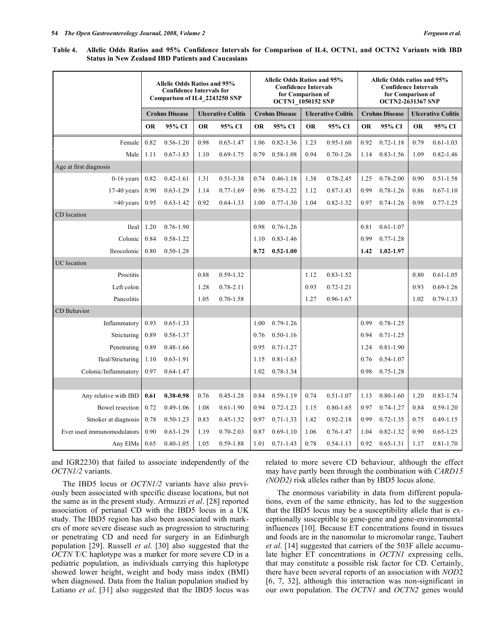**Table 4. Allelic Odds Ratios and 95% Confidence Intervals for Comparison of IL4, OCTN1, and OCTN2 Variants with IBD Status in New Zealand IBD Patients and Caucasians** 

|                            | <b>Allelic Odds Ratios and 95%</b><br><b>Confidence Intervals for</b><br>Comparison of IL4 2243250 SNP |                       | <b>Allelic Odds Ratios and 95%</b><br><b>Confidence Intervals</b><br>for Comparison of<br><b>OCTN1_1050152 SNP</b> |               |                       |               | <b>Allelic Odds ratios and 95%</b><br><b>Confidence Intervals</b><br>for Comparison of<br><b>OCTN2-2631367 SNP</b> |               |                       |               |                           |               |
|----------------------------|--------------------------------------------------------------------------------------------------------|-----------------------|--------------------------------------------------------------------------------------------------------------------|---------------|-----------------------|---------------|--------------------------------------------------------------------------------------------------------------------|---------------|-----------------------|---------------|---------------------------|---------------|
|                            |                                                                                                        | <b>Crohns Disease</b> | <b>Ulcerative Colitis</b>                                                                                          |               | <b>Crohns Disease</b> |               | <b>Ulcerative Colitis</b>                                                                                          |               | <b>Crohns Disease</b> |               | <b>Ulcerative Colitis</b> |               |
|                            | <b>OR</b>                                                                                              | 95% CI                | <b>OR</b>                                                                                                          | 95% CI        | <b>OR</b>             | 95% CI        | <b>OR</b>                                                                                                          | 95% CI        | <b>OR</b>             | 95% CI        | <b>OR</b>                 | 95% CI        |
| Female                     | 0.82                                                                                                   | $0.56 - 1.20$         | 0.98                                                                                                               | $0.65 - 1.47$ | 1.06                  | $0.82 - 1.36$ | 1.23                                                                                                               | $0.95 - 1.60$ | 0.92                  | $0.72 - 1.18$ | 0.79                      | $0.61 - 1.03$ |
| Male                       | 1.11                                                                                                   | $0.67 - 1.83$         | 1.10                                                                                                               | $0.69 - 1.75$ | 0.79                  | $0.58 - 1.08$ | 0.94                                                                                                               | $0.70 - 1.26$ | 1.14                  | $0.83 - 1.56$ | 1.09                      | $0.82 - 1.46$ |
| Age at first diagnosis     |                                                                                                        |                       |                                                                                                                    |               |                       |               |                                                                                                                    |               |                       |               |                           |               |
| $0-16$ years               | 0.82                                                                                                   | $0.42 - 1.61$         | 1.31                                                                                                               | 0.51-3.38     | 0.74                  | $0.46 - 1.18$ | 1.38                                                                                                               | $0.78 - 2.45$ | 1.25                  | $0.78 - 2.00$ | 0.90                      | $0.51 - 1.58$ |
| $17-40$ years              | 0.90                                                                                                   | $0.63 - 1.29$         | 1.14                                                                                                               | $0.77 - 1.69$ | 0.96                  | $0.75 - 1.22$ | 1.12                                                                                                               | $0.87 - 1.43$ | 0.99                  | $0.78 - 1.26$ | 0.86                      | $0.67 - 1.10$ |
| >40 years                  | 0.95                                                                                                   | $0.63 - 1.42$         | 0.92                                                                                                               | $0.64 - 1.33$ | 1.00                  | $0.77 - 1.30$ | 1.04                                                                                                               | $0.82 - 1.32$ | 0.97                  | $0.74 - 1.26$ | 0.98                      | $0.77 - 1.25$ |
| CD location                |                                                                                                        |                       |                                                                                                                    |               |                       |               |                                                                                                                    |               |                       |               |                           |               |
| Ileal                      | 1.20                                                                                                   | $0.76 - 1.90$         |                                                                                                                    |               | 0.98                  | $0.76 - 1.26$ |                                                                                                                    |               | 0.81                  | $0.61 - 1.07$ |                           |               |
| Colonic                    | 0.84                                                                                                   | 0.58-1.22             |                                                                                                                    |               | 1.10                  | $0.83 - 1.46$ |                                                                                                                    |               | 0.99                  | $0.77 - 1.28$ |                           |               |
| Ileocolonic                | 0.80                                                                                                   | $0.50 - 1.28$         |                                                                                                                    |               | 0.72                  | $0.52 - 1.00$ |                                                                                                                    |               | 1.42                  | $1.02 - 1.97$ |                           |               |
| <b>UC</b> location         |                                                                                                        |                       |                                                                                                                    |               |                       |               |                                                                                                                    |               |                       |               |                           |               |
| Proctitis                  |                                                                                                        |                       | 0.88                                                                                                               | 0.59-1.32     |                       |               | 1.12                                                                                                               | $0.83 - 1.52$ |                       |               | 0.80                      | $0.61 - 1.05$ |
| Left colon                 |                                                                                                        |                       | 1.28                                                                                                               | $0.78 - 2.11$ |                       |               | 0.93                                                                                                               | $0.72 - 1.21$ |                       |               | 0.93                      | $0.69 - 1.26$ |
| Pancolitis                 |                                                                                                        |                       | 1.05                                                                                                               | $0.70 - 1.58$ |                       |               | 1.27                                                                                                               | 0.96-1.67     |                       |               | 1.02                      | $0.79 - 1.33$ |
| CD Behavior                |                                                                                                        |                       |                                                                                                                    |               |                       |               |                                                                                                                    |               |                       |               |                           |               |
| Inflammatory               | 0.93                                                                                                   | $0.65 - 1.33$         |                                                                                                                    |               | 1.00                  | $0.79 - 1.26$ |                                                                                                                    |               | 0.99                  | 0.78-1.25     |                           |               |
| Stricturing                | 0.89                                                                                                   | 0.58-1.37             |                                                                                                                    |               | 0.76                  | $0.50 - 1.16$ |                                                                                                                    |               | 0.94                  | $0.71 - 1.25$ |                           |               |
| Penetrating                | 0.89                                                                                                   | $0.48 - 1.66$         |                                                                                                                    |               | 0.95                  | $0.71 - 1.27$ |                                                                                                                    |               | 1.24                  | $0.81 - 1.90$ |                           |               |
| Ileal/Stricturing          | 1.10                                                                                                   | $0.63 - 1.91$         |                                                                                                                    |               | 1.15                  | $0.81 - 1.63$ |                                                                                                                    |               | 0.76                  | $0.54 - 1.07$ |                           |               |
| Colonic/Inflammatory       | 0.97                                                                                                   | $0.64 - 1.47$         |                                                                                                                    |               | 1.02                  | $0.78 - 1.34$ |                                                                                                                    |               | 0.98                  | $0.75 - 1.28$ |                           |               |
|                            |                                                                                                        |                       |                                                                                                                    |               |                       |               |                                                                                                                    |               |                       |               |                           |               |
| Any relative with IBD      | 0.61                                                                                                   | $0.38 - 0.98$         | 0.76                                                                                                               | $0.45 - 1.28$ | 0.84                  | $0.59 - 1.19$ | 0.74                                                                                                               | $0.51 - 1.07$ | 1.13                  | $0.80 - 1.60$ | 1.20                      | 0.83-1.74     |
| Bowel resection            | 0.72                                                                                                   | $0.49 - 1.06$         | 1.08                                                                                                               | $0.61 - 1.90$ | 0.94                  | $0.72 - 1.23$ | 1.15                                                                                                               | $0.80 - 1.65$ | 0.97                  | $0.74 - 1.27$ | 0.84                      | $0.59 - 1.20$ |
| Smoker at diagnosis        | 0.78                                                                                                   | $0.50 - 1.23$         | 0.83                                                                                                               | $0.45 - 1.52$ | 0.97                  | $0.71 - 1.33$ | 1.42                                                                                                               | $0.92 - 2.18$ | 0.99                  | $0.72 - 1.35$ | 0.75                      | $0.49 - 1.15$ |
| Ever used immunomodulators | 0.90                                                                                                   | $0.63 - 1.29$         | 1.19                                                                                                               | $0.70 - 2.03$ | 0.87                  | $0.69 - 1.10$ | 1.06                                                                                                               | $0.76 - 1.47$ | 1.04                  | $0.82 - 1.32$ | 0.90                      | $0.65 - 1.25$ |
| Any EIMs                   | 0.65                                                                                                   | $0.40 - 1.05$         | 1.05                                                                                                               | $0.59 - 1.88$ | 1.01                  | $0.71 - 1.43$ | 0.78                                                                                                               | $0.54 - 1.13$ | 0.92                  | $0.65 - 1.31$ | 1.17                      | $0.81 - 1.70$ |

and IGR2230) that failed to associate independently of the *OCTN1/2* variants.

 The IBD5 locus or *OCTN1/2* variants have also previously been associated with specific disease locations, but not the same as in the present study. Armuzzi *et al*. [28] reported association of perianal CD with the IBD5 locus in a UK study. The IBD5 region has also been associated with markers of more severe disease such as progression to structuring or penetrating CD and need for surgery in an Edinburgh population [29]. Russell *et al*. [30] also suggested that the *OCTN* T/C haplotype was a marker for more severe CD in a pediatric population, as individuals carrying this haplotype showed lower height, weight and body mass index (BMI) when diagnosed. Data from the Italian population studied by Latiano *et al*. [31] also suggested that the IBD5 locus was related to more severe CD behaviour, although the effect may have partly been through the combination with *CARD15 (NOD2)* risk alleles rather than by IBD5 locus alone.

 The enormous variability in data from different populations, even of the same ethnicity, has led to the suggestion that the IBD5 locus may be a susceptibility allele that is exceptionally susceptible to gene-gene and gene-environmental influences [10]. Because ET concentrations found in tissues and foods are in the nanomolar to micromolar range, Taubert *et al*. [14] suggested that carriers of the 503F allele accumulate higher ET concentrations in *OCTN1* expressing cells, that may constitute a possible risk factor for CD. Certainly, there have been several reports of an association with *NOD*2 [6, 7, 32], although this interaction was non-significant in our own population. The *OCTN1* and *OCTN2* genes would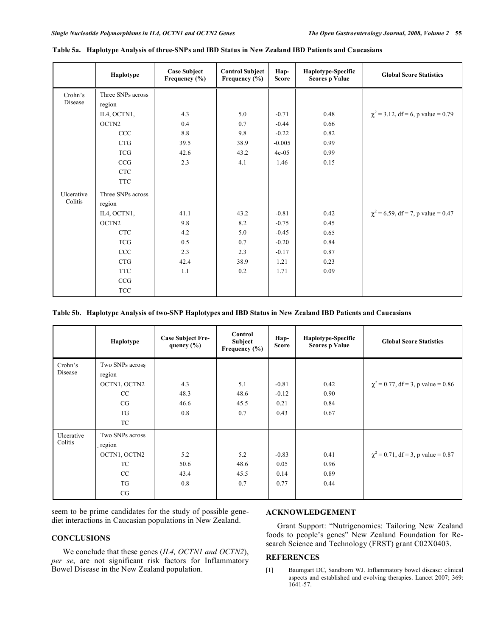|            | Haplotype         | <b>Case Subject</b><br>Frequency (%) | <b>Control Subject</b><br>Frequency (%) | Hap-<br><b>Score</b> | Haplotype-Specific<br><b>Scores p Value</b> | <b>Global Score Statistics</b>          |
|------------|-------------------|--------------------------------------|-----------------------------------------|----------------------|---------------------------------------------|-----------------------------------------|
| Crohn's    | Three SNPs across |                                      |                                         |                      |                                             |                                         |
| Disease    | region            |                                      |                                         |                      |                                             |                                         |
|            | IL4, OCTN1,       | 4.3                                  | 5.0                                     | $-0.71$              | 0.48                                        | $\chi^2$ = 3.12, df = 6, p value = 0.79 |
|            | OCTN <sub>2</sub> | 0.4                                  | 0.7                                     | $-0.44$              | 0.66                                        |                                         |
|            | CCC               | 8.8                                  | 9.8                                     | $-0.22$              | 0.82                                        |                                         |
|            | <b>CTG</b>        | 39.5                                 | 38.9                                    | $-0.005$             | 0.99                                        |                                         |
|            | <b>TCG</b>        | 42.6                                 | 43.2                                    | $4e-05$              | 0.99                                        |                                         |
|            | CCG               | 2.3                                  | 4.1                                     | 1.46                 | 0.15                                        |                                         |
|            | <b>CTC</b>        |                                      |                                         |                      |                                             |                                         |
|            | <b>TTC</b>        |                                      |                                         |                      |                                             |                                         |
| Ulcerative | Three SNPs across |                                      |                                         |                      |                                             |                                         |
| Colitis    | region            |                                      |                                         |                      |                                             |                                         |
|            | IL4, OCTN1,       | 41.1                                 | 43.2                                    | $-0.81$              | 0.42                                        | $\chi^2$ = 6.59, df = 7, p value = 0.47 |
|            | OCTN <sub>2</sub> | 9.8                                  | 8.2                                     | $-0.75$              | 0.45                                        |                                         |
|            | <b>CTC</b>        | 4.2                                  | 5.0                                     | $-0.45$              | 0.65                                        |                                         |
|            | <b>TCG</b>        | 0.5                                  | 0.7                                     | $-0.20$              | 0.84                                        |                                         |
|            | CCC               | 2.3                                  | 2.3                                     | $-0.17$              | 0.87                                        |                                         |
|            | <b>CTG</b>        | 42.4                                 | 38.9                                    | 1.21                 | 0.23                                        |                                         |
|            | <b>TTC</b>        | 1.1                                  | 0.2                                     | 1.71                 | 0.09                                        |                                         |
|            | CCG               |                                      |                                         |                      |                                             |                                         |
|            | <b>TCC</b>        |                                      |                                         |                      |                                             |                                         |

#### **Table 5a. Haplotype Analysis of three-SNPs and IBD Status in New Zealand IBD Patients and Caucasians**

## **Table 5b. Haplotype Analysis of two-SNP Haplotypes and IBD Status in New Zealand IBD Patients and Caucasians**

|                    | Haplotype       | <b>Case Subject Fre-</b><br>quency $(\% )$ | Control<br>Subject<br>Frequency $(\% )$ | Hap-<br><b>Score</b> | Haplotype-Specific<br><b>Scores p Value</b> | <b>Global Score Statistics</b>          |
|--------------------|-----------------|--------------------------------------------|-----------------------------------------|----------------------|---------------------------------------------|-----------------------------------------|
| Crohn's<br>Disease | Two SNPs across |                                            |                                         |                      |                                             |                                         |
|                    | region          |                                            |                                         |                      |                                             |                                         |
|                    | OCTN1, OCTN2    | 4.3                                        | 5.1                                     | $-0.81$              | 0.42                                        | $\chi^2$ = 0.77, df = 3, p value = 0.86 |
|                    | CC              | 48.3                                       | 48.6                                    | $-0.12$              | 0.90                                        |                                         |
|                    | CG              | 46.6                                       | 45.5                                    | 0.21                 | 0.84                                        |                                         |
|                    | TG              | 0.8                                        | 0.7                                     | 0.43                 | 0.67                                        |                                         |
|                    | TC              |                                            |                                         |                      |                                             |                                         |
| Ulcerative         | Two SNPs across |                                            |                                         |                      |                                             |                                         |
| Colitis            | region          |                                            |                                         |                      |                                             |                                         |
|                    | OCTN1, OCTN2    | 5.2                                        | 5.2                                     | $-0.83$              | 0.41                                        | $\chi^2$ = 0.71, df = 3, p value = 0.87 |
|                    | TC              | 50.6                                       | 48.6                                    | 0.05                 | 0.96                                        |                                         |
|                    | CC              | 43.4                                       | 45.5                                    | 0.14                 | 0.89                                        |                                         |
|                    | TG              | 0.8                                        | 0.7                                     | 0.77                 | 0.44                                        |                                         |
|                    | CG              |                                            |                                         |                      |                                             |                                         |

seem to be prime candidates for the study of possible genediet interactions in Caucasian populations in New Zealand.

# **CONCLUSIONS**

 We conclude that these genes (*IL4, OCTN1 and OCTN2*), *per se*, are not significant risk factors for Inflammatory Bowel Disease in the New Zealand population.

# **ACKNOWLEDGEMENT**

 Grant Support: "Nutrigenomics: Tailoring New Zealand foods to people's genes" New Zealand Foundation for Research Science and Technology (FRST) grant C02X0403.

# **REFERENCES**

[1] Baumgart DC, Sandborn WJ. Inflammatory bowel disease: clinical aspects and established and evolving therapies. Lancet 2007; 369: 1641-57.